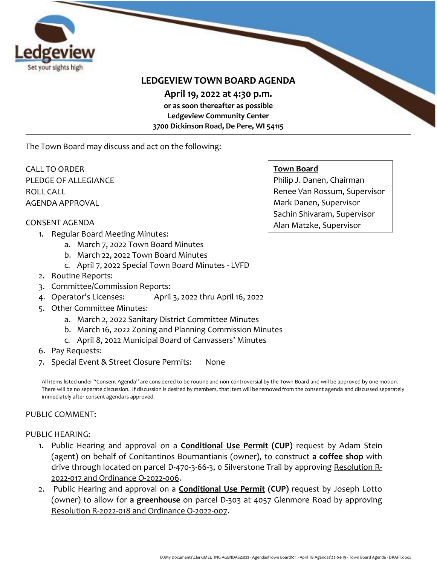

# **LEDGEVIEW TOWN BOARD AGENDA**

**April 19, 2022 at 4:30 p.m.** 

**or as soon thereafter as possible Ledgeview Community Center 3700 Dickinson Road, De Pere, WI 54115**

The Town Board may discuss and act on the following:

CALL TO ORDER PLEDGE OF ALLEGIANCE ROLL CALL AGENDA APPROVAL

#### **Town Board**

Philip J. Danen, Chairman Renee Van Rossum, Supervisor Mark Danen, Supervisor Sachin Shivaram, Supervisor Alan Matzke, Supervisor

#### CONSENT AGENDA

- 1. Regular Board Meeting Minutes:
	- a. March 7, 2022 Town Board Minutes
	- b. March 22, 2022 Town Board Minutes
	- c. April 7, 2022 Special Town Board Minutes LVFD
- 2. Routine Reports:
- 3. Committee/Commission Reports:
- 4. Operator's Licenses: April 3, 2022 thru April 16, 2022
- 5. Other Committee Minutes:
	- a. March 2, 2022 Sanitary District Committee Minutes
	- b. March 16, 2022 Zoning and Planning Commission Minutes
	- c. April 8, 2022 Municipal Board of Canvassers' Minutes
- 6. Pay Requests:
- 7. Special Event & Street Closure Permits: None

All items listed under "Consent Agenda" are considered to be routine and non-controversial by the Town Board and will be approved by one motion. There will be no separate discussion. If discussion is desired by members, that item will be removed from the consent agenda and discussed separately immediately after consent agenda is approved.

#### PUBLIC COMMENT:

#### PUBLIC HEARING:

- 1. Public Hearing and approval on a **Conditional Use Permit (CUP)** request by Adam Stein (agent) on behalf of Conitantinos Bournantianis (owner), to construct **a coffee shop** with drive through located on parcel D-470-3-66-3, o Silverstone Trail by approving Resolution R-2022-017 and Ordinance O-2022-006.
- 2. Public Hearing and approval on a **Conditional Use Permit (CUP)** request by Joseph Lotto (owner) to allow for **a greenhouse** on parcel D-303 at 4057 Glenmore Road by approving Resolution R-2022-018 and Ordinance O-2022-007.